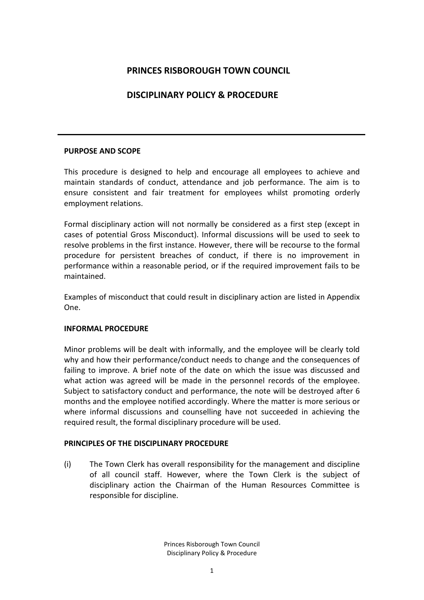# **PRINCES RISBOROUGH TOWN COUNCIL**

# **DISCIPLINARY POLICY & PROCEDURE**

### **PURPOSE AND SCOPE**

This procedure is designed to help and encourage all employees to achieve and maintain standards of conduct, attendance and job performance. The aim is to ensure consistent and fair treatment for employees whilst promoting orderly employment relations.

Formal disciplinary action will not normally be considered as a first step (except in cases of potential Gross Misconduct). Informal discussions will be used to seek to resolve problems in the first instance. However, there will be recourse to the formal procedure for persistent breaches of conduct, if there is no improvement in performance within a reasonable period, or if the required improvement fails to be maintained.

Examples of misconduct that could result in disciplinary action are listed in Appendix One.

#### **INFORMAL PROCEDURE**

Minor problems will be dealt with informally, and the employee will be clearly told why and how their performance/conduct needs to change and the consequences of failing to improve. A brief note of the date on which the issue was discussed and what action was agreed will be made in the personnel records of the employee. Subject to satisfactory conduct and performance, the note will be destroyed after 6 months and the employee notified accordingly. Where the matter is more serious or where informal discussions and counselling have not succeeded in achieving the required result, the formal disciplinary procedure will be used.

#### **PRINCIPLES OF THE DISCIPLINARY PROCEDURE**

(i) The Town Clerk has overall responsibility for the management and discipline of all council staff. However, where the Town Clerk is the subject of disciplinary action the Chairman of the Human Resources Committee is responsible for discipline.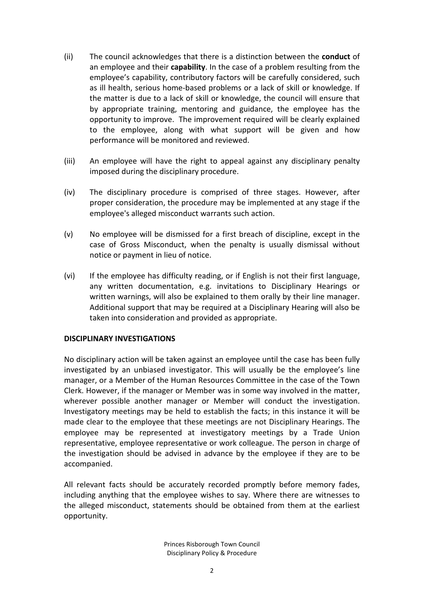- (ii) The council acknowledges that there is a distinction between the **conduct** of an employee and their **capability**. In the case of a problem resulting from the employee's capability, contributory factors will be carefully considered, such as ill health, serious home-based problems or a lack of skill or knowledge. If the matter is due to a lack of skill or knowledge, the council will ensure that by appropriate training, mentoring and guidance, the employee has the opportunity to improve. The improvement required will be clearly explained to the employee, along with what support will be given and how performance will be monitored and reviewed.
- (iii) An employee will have the right to appeal against any disciplinary penalty imposed during the disciplinary procedure.
- (iv) The disciplinary procedure is comprised of three stages. However, after proper consideration, the procedure may be implemented at any stage if the employee's alleged misconduct warrants such action.
- (v) No employee will be dismissed for a first breach of discipline, except in the case of Gross Misconduct, when the penalty is usually dismissal without notice or payment in lieu of notice.
- (vi) If the employee has difficulty reading, or if English is not their first language, any written documentation, e.g. invitations to Disciplinary Hearings or written warnings, will also be explained to them orally by their line manager. Additional support that may be required at a Disciplinary Hearing will also be taken into consideration and provided as appropriate.

#### **DISCIPLINARY INVESTIGATIONS**

No disciplinary action will be taken against an employee until the case has been fully investigated by an unbiased investigator. This will usually be the employee's line manager, or a Member of the Human Resources Committee in the case of the Town Clerk. However, if the manager or Member was in some way involved in the matter, wherever possible another manager or Member will conduct the investigation. Investigatory meetings may be held to establish the facts; in this instance it will be made clear to the employee that these meetings are not Disciplinary Hearings. The employee may be represented at investigatory meetings by a Trade Union representative, employee representative or work colleague. The person in charge of the investigation should be advised in advance by the employee if they are to be accompanied.

All relevant facts should be accurately recorded promptly before memory fades, including anything that the employee wishes to say. Where there are witnesses to the alleged misconduct, statements should be obtained from them at the earliest opportunity.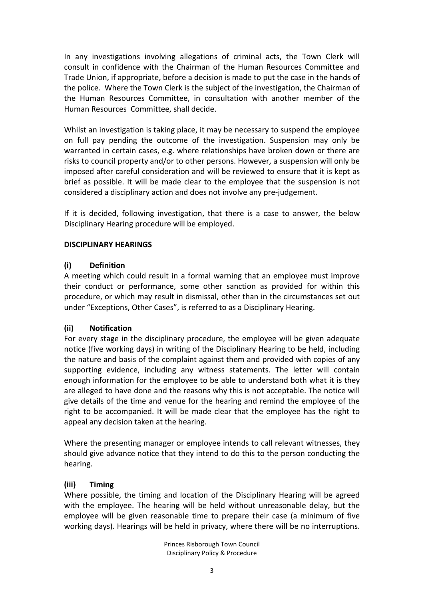In any investigations involving allegations of criminal acts, the Town Clerk will consult in confidence with the Chairman of the Human Resources Committee and Trade Union, if appropriate, before a decision is made to put the case in the hands of the police. Where the Town Clerk is the subject of the investigation, the Chairman of the Human Resources Committee, in consultation with another member of the Human Resources Committee, shall decide.

Whilst an investigation is taking place, it may be necessary to suspend the employee on full pay pending the outcome of the investigation. Suspension may only be warranted in certain cases, e.g. where relationships have broken down or there are risks to council property and/or to other persons. However, a suspension will only be imposed after careful consideration and will be reviewed to ensure that it is kept as brief as possible. It will be made clear to the employee that the suspension is not considered a disciplinary action and does not involve any pre-judgement.

If it is decided, following investigation, that there is a case to answer, the below Disciplinary Hearing procedure will be employed.

## **DISCIPLINARY HEARINGS**

### **(i) Definition**

A meeting which could result in a formal warning that an employee must improve their conduct or performance, some other sanction as provided for within this procedure, or which may result in dismissal, other than in the circumstances set out under "Exceptions, Other Cases", is referred to as a Disciplinary Hearing.

## **(ii) Notification**

For every stage in the disciplinary procedure, the employee will be given adequate notice (five working days) in writing of the Disciplinary Hearing to be held, including the nature and basis of the complaint against them and provided with copies of any supporting evidence, including any witness statements. The letter will contain enough information for the employee to be able to understand both what it is they are alleged to have done and the reasons why this is not acceptable. The notice will give details of the time and venue for the hearing and remind the employee of the right to be accompanied. It will be made clear that the employee has the right to appeal any decision taken at the hearing.

Where the presenting manager or employee intends to call relevant witnesses, they should give advance notice that they intend to do this to the person conducting the hearing.

## **(iii) Timing**

Where possible, the timing and location of the Disciplinary Hearing will be agreed with the employee. The hearing will be held without unreasonable delay, but the employee will be given reasonable time to prepare their case (a minimum of five working days). Hearings will be held in privacy, where there will be no interruptions.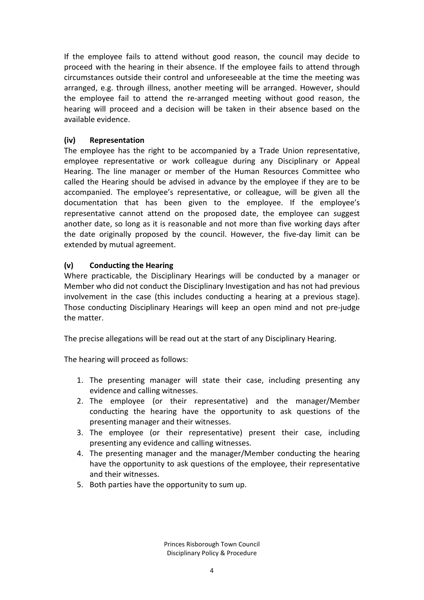If the employee fails to attend without good reason, the council may decide to proceed with the hearing in their absence. If the employee fails to attend through circumstances outside their control and unforeseeable at the time the meeting was arranged, e.g. through illness, another meeting will be arranged. However, should the employee fail to attend the re-arranged meeting without good reason, the hearing will proceed and a decision will be taken in their absence based on the available evidence.

## **(iv) Representation**

The employee has the right to be accompanied by a Trade Union representative, employee representative or work colleague during any Disciplinary or Appeal Hearing. The line manager or member of the Human Resources Committee who called the Hearing should be advised in advance by the employee if they are to be accompanied. The employee's representative, or colleague, will be given all the documentation that has been given to the employee. If the employee's representative cannot attend on the proposed date, the employee can suggest another date, so long as it is reasonable and not more than five working days after the date originally proposed by the council. However, the five-day limit can be extended by mutual agreement.

## **(v) Conducting the Hearing**

Where practicable, the Disciplinary Hearings will be conducted by a manager or Member who did not conduct the Disciplinary Investigation and has not had previous involvement in the case (this includes conducting a hearing at a previous stage). Those conducting Disciplinary Hearings will keep an open mind and not pre-judge the matter.

The precise allegations will be read out at the start of any Disciplinary Hearing.

The hearing will proceed as follows:

- 1. The presenting manager will state their case, including presenting any evidence and calling witnesses.
- 2. The employee (or their representative) and the manager/Member conducting the hearing have the opportunity to ask questions of the presenting manager and their witnesses.
- 3. The employee (or their representative) present their case, including presenting any evidence and calling witnesses.
- 4. The presenting manager and the manager/Member conducting the hearing have the opportunity to ask questions of the employee, their representative and their witnesses.
- 5. Both parties have the opportunity to sum up.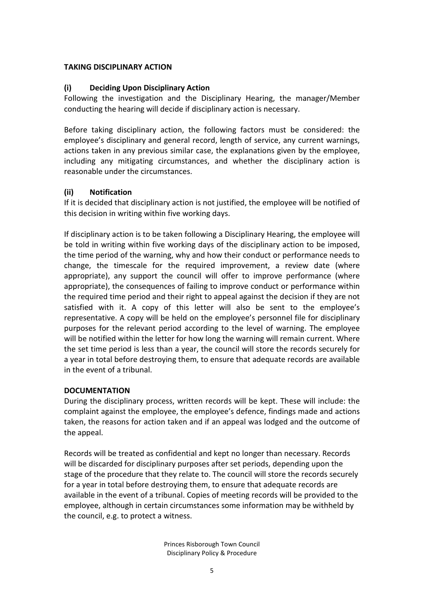#### **TAKING DISCIPLINARY ACTION**

## **(i) Deciding Upon Disciplinary Action**

Following the investigation and the Disciplinary Hearing, the manager/Member conducting the hearing will decide if disciplinary action is necessary.

Before taking disciplinary action, the following factors must be considered: the employee's disciplinary and general record, length of service, any current warnings, actions taken in any previous similar case, the explanations given by the employee, including any mitigating circumstances, and whether the disciplinary action is reasonable under the circumstances.

## **(ii) Notification**

If it is decided that disciplinary action is not justified, the employee will be notified of this decision in writing within five working days.

If disciplinary action is to be taken following a Disciplinary Hearing, the employee will be told in writing within five working days of the disciplinary action to be imposed, the time period of the warning, why and how their conduct or performance needs to change, the timescale for the required improvement, a review date (where appropriate), any support the council will offer to improve performance (where appropriate), the consequences of failing to improve conduct or performance within the required time period and their right to appeal against the decision if they are not satisfied with it. A copy of this letter will also be sent to the employee's representative. A copy will be held on the employee's personnel file for disciplinary purposes for the relevant period according to the level of warning. The employee will be notified within the letter for how long the warning will remain current. Where the set time period is less than a year, the council will store the records securely for a year in total before destroying them, to ensure that adequate records are available in the event of a tribunal.

#### **DOCUMENTATION**

During the disciplinary process, written records will be kept. These will include: the complaint against the employee, the employee's defence, findings made and actions taken, the reasons for action taken and if an appeal was lodged and the outcome of the appeal.

Records will be treated as confidential and kept no longer than necessary. Records will be discarded for disciplinary purposes after set periods, depending upon the stage of the procedure that they relate to. The council will store the records securely for a year in total before destroying them, to ensure that adequate records are available in the event of a tribunal. Copies of meeting records will be provided to the employee, although in certain circumstances some information may be withheld by the council, e.g. to protect a witness.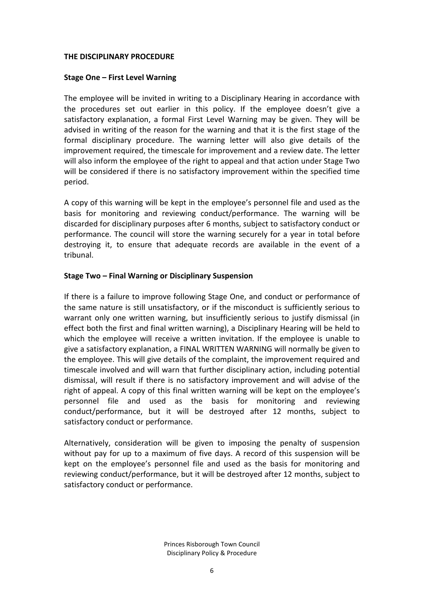#### **THE DISCIPLINARY PROCEDURE**

#### **Stage One – First Level Warning**

The employee will be invited in writing to a Disciplinary Hearing in accordance with the procedures set out earlier in this policy. If the employee doesn't give a satisfactory explanation, a formal First Level Warning may be given. They will be advised in writing of the reason for the warning and that it is the first stage of the formal disciplinary procedure. The warning letter will also give details of the improvement required, the timescale for improvement and a review date. The letter will also inform the employee of the right to appeal and that action under Stage Two will be considered if there is no satisfactory improvement within the specified time period.

A copy of this warning will be kept in the employee's personnel file and used as the basis for monitoring and reviewing conduct/performance. The warning will be discarded for disciplinary purposes after 6 months, subject to satisfactory conduct or performance. The council will store the warning securely for a year in total before destroying it, to ensure that adequate records are available in the event of a tribunal.

#### **Stage Two – Final Warning or Disciplinary Suspension**

If there is a failure to improve following Stage One, and conduct or performance of the same nature is still unsatisfactory, or if the misconduct is sufficiently serious to warrant only one written warning, but insufficiently serious to justify dismissal (in effect both the first and final written warning), a Disciplinary Hearing will be held to which the employee will receive a written invitation. If the employee is unable to give a satisfactory explanation, a FINAL WRITTEN WARNING will normally be given to the employee. This will give details of the complaint, the improvement required and timescale involved and will warn that further disciplinary action, including potential dismissal, will result if there is no satisfactory improvement and will advise of the right of appeal. A copy of this final written warning will be kept on the employee's personnel file and used as the basis for monitoring and reviewing conduct/performance, but it will be destroyed after 12 months, subject to satisfactory conduct or performance.

Alternatively, consideration will be given to imposing the penalty of suspension without pay for up to a maximum of five days. A record of this suspension will be kept on the employee's personnel file and used as the basis for monitoring and reviewing conduct/performance, but it will be destroyed after 12 months, subject to satisfactory conduct or performance.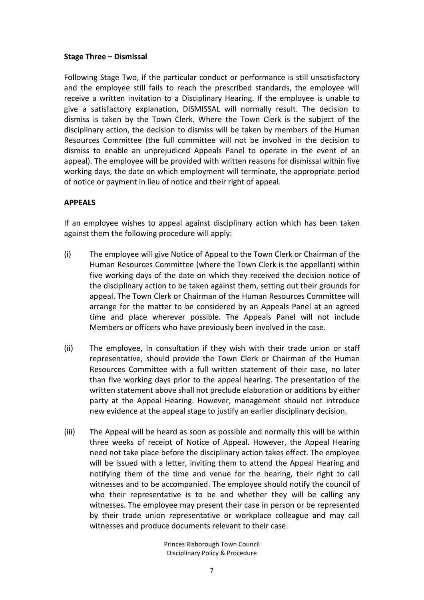#### **Stage Three – Dismissal**

Following Stage Two, if the particular conduct or performance is still unsatisfactory and the employee still fails to reach the prescribed standards, the employee will receive a written invitation to a Disciplinary Hearing. If the employee is unable to give a satisfactory explanation, DISMISSAL will normally result. The decision to dismiss is taken by the Town Clerk. Where the Town Clerk is the subject of the disciplinary action, the decision to dismiss will be taken by members of the Human Resources Committee (the full committee will not be involved in the decision to dismiss to enable an unprejudiced Appeals Panel to operate in the event of an appeal). The employee will be provided with written reasons for dismissal within five working days, the date on which employment will terminate, the appropriate period of notice or payment in lieu of notice and their right of appeal.

### **APPEALS**

If an employee wishes to appeal against disciplinary action which has been taken against them the following procedure will apply:

- (i) The employee will give Notice of Appeal to the Town Clerk or Chairman of the Human Resources Committee (where the Town Clerk is the appellant) within five working days of the date on which they received the decision notice of the disciplinary action to be taken against them, setting out their grounds for appeal. The Town Clerk or Chairman of the Human Resources Committee will arrange for the matter to be considered by an Appeals Panel at an agreed time and place wherever possible. The Appeals Panel will not include Members or officers who have previously been involved in the case.
- (ii) The employee, in consultation if they wish with their trade union or staff representative, should provide the Town Clerk or Chairman of the Human Resources Committee with a full written statement of their case, no later than five working days prior to the appeal hearing. The presentation of the written statement above shall not preclude elaboration or additions by either party at the Appeal Hearing. However, management should not introduce new evidence at the appeal stage to justify an earlier disciplinary decision.
- (iii) The Appeal will be heard as soon as possible and normally this will be within three weeks of receipt of Notice of Appeal. However, the Appeal Hearing need not take place before the disciplinary action takes effect. The employee will be issued with a letter, inviting them to attend the Appeal Hearing and notifying them of the time and venue for the hearing, their right to call witnesses and to be accompanied. The employee should notify the council of who their representative is to be and whether they will be calling any witnesses. The employee may present their case in person or be represented by their trade union representative or workplace colleague and may call witnesses and produce documents relevant to their case.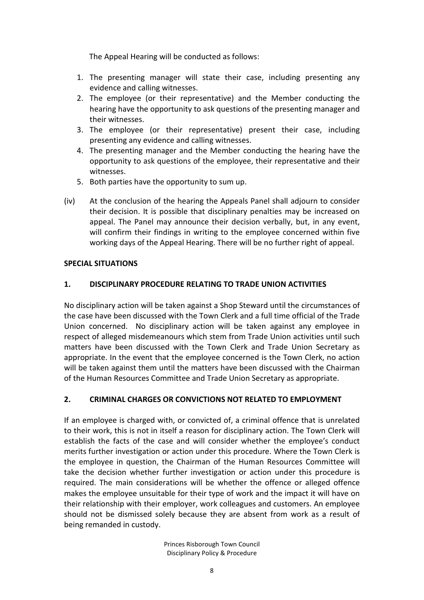The Appeal Hearing will be conducted as follows:

- 1. The presenting manager will state their case, including presenting any evidence and calling witnesses.
- 2. The employee (or their representative) and the Member conducting the hearing have the opportunity to ask questions of the presenting manager and their witnesses.
- 3. The employee (or their representative) present their case, including presenting any evidence and calling witnesses.
- 4. The presenting manager and the Member conducting the hearing have the opportunity to ask questions of the employee, their representative and their witnesses.
- 5. Both parties have the opportunity to sum up.
- (iv) At the conclusion of the hearing the Appeals Panel shall adjourn to consider their decision. It is possible that disciplinary penalties may be increased on appeal. The Panel may announce their decision verbally, but, in any event, will confirm their findings in writing to the employee concerned within five working days of the Appeal Hearing. There will be no further right of appeal.

#### **SPECIAL SITUATIONS**

## **1. DISCIPLINARY PROCEDURE RELATING TO TRADE UNION ACTIVITIES**

No disciplinary action will be taken against a Shop Steward until the circumstances of the case have been discussed with the Town Clerk and a full time official of the Trade Union concerned. No disciplinary action will be taken against any employee in respect of alleged misdemeanours which stem from Trade Union activities until such matters have been discussed with the Town Clerk and Trade Union Secretary as appropriate. In the event that the employee concerned is the Town Clerk, no action will be taken against them until the matters have been discussed with the Chairman of the Human Resources Committee and Trade Union Secretary as appropriate.

## **2. CRIMINAL CHARGES OR CONVICTIONS NOT RELATED TO EMPLOYMENT**

If an employee is charged with, or convicted of, a criminal offence that is unrelated to their work, this is not in itself a reason for disciplinary action. The Town Clerk will establish the facts of the case and will consider whether the employee's conduct merits further investigation or action under this procedure. Where the Town Clerk is the employee in question, the Chairman of the Human Resources Committee will take the decision whether further investigation or action under this procedure is required. The main considerations will be whether the offence or alleged offence makes the employee unsuitable for their type of work and the impact it will have on their relationship with their employer, work colleagues and customers. An employee should not be dismissed solely because they are absent from work as a result of being remanded in custody.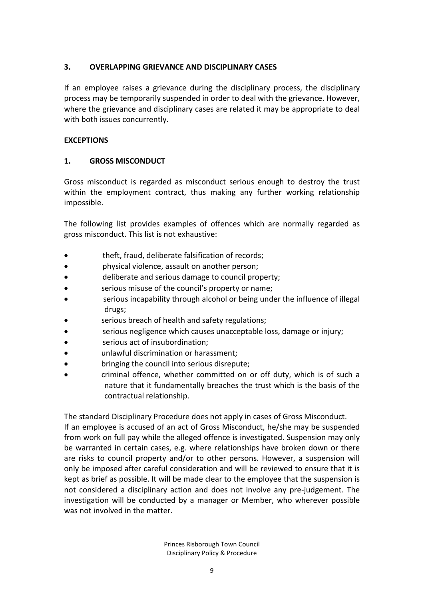## **3. OVERLAPPING GRIEVANCE AND DISCIPLINARY CASES**

If an employee raises a grievance during the disciplinary process, the disciplinary process may be temporarily suspended in order to deal with the grievance. However, where the grievance and disciplinary cases are related it may be appropriate to deal with both issues concurrently.

## **EXCEPTIONS**

## **1. GROSS MISCONDUCT**

Gross misconduct is regarded as misconduct serious enough to destroy the trust within the employment contract, thus making any further working relationship impossible.

The following list provides examples of offences which are normally regarded as gross misconduct. This list is not exhaustive:

- theft, fraud, deliberate falsification of records;
- physical violence, assault on another person;
- deliberate and serious damage to council property;
- serious misuse of the council's property or name;
- serious incapability through alcohol or being under the influence of illegal drugs;
- serious breach of health and safety regulations;
- serious negligence which causes unacceptable loss, damage or injury;
- serious act of insubordination;
- unlawful discrimination or harassment;
- bringing the council into serious disrepute;
- criminal offence, whether committed on or off duty, which is of such a nature that it fundamentally breaches the trust which is the basis of the contractual relationship.

The standard Disciplinary Procedure does not apply in cases of Gross Misconduct. If an employee is accused of an act of Gross Misconduct, he/she may be suspended from work on full pay while the alleged offence is investigated. Suspension may only be warranted in certain cases, e.g. where relationships have broken down or there are risks to council property and/or to other persons. However, a suspension will only be imposed after careful consideration and will be reviewed to ensure that it is kept as brief as possible. It will be made clear to the employee that the suspension is not considered a disciplinary action and does not involve any pre-judgement. The investigation will be conducted by a manager or Member, who wherever possible was not involved in the matter.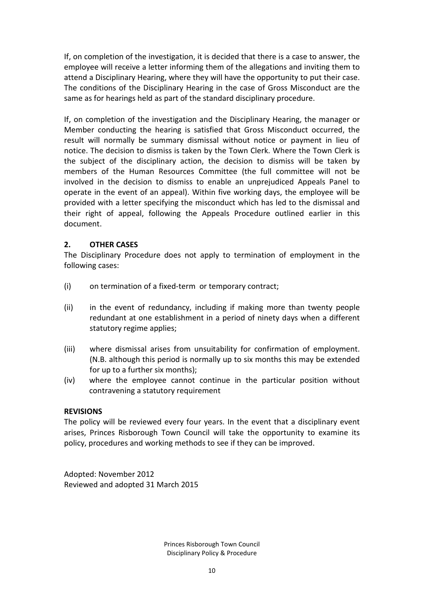If, on completion of the investigation, it is decided that there is a case to answer, the employee will receive a letter informing them of the allegations and inviting them to attend a Disciplinary Hearing, where they will have the opportunity to put their case. The conditions of the Disciplinary Hearing in the case of Gross Misconduct are the same as for hearings held as part of the standard disciplinary procedure.

If, on completion of the investigation and the Disciplinary Hearing, the manager or Member conducting the hearing is satisfied that Gross Misconduct occurred, the result will normally be summary dismissal without notice or payment in lieu of notice. The decision to dismiss is taken by the Town Clerk. Where the Town Clerk is the subject of the disciplinary action, the decision to dismiss will be taken by members of the Human Resources Committee (the full committee will not be involved in the decision to dismiss to enable an unprejudiced Appeals Panel to operate in the event of an appeal). Within five working days, the employee will be provided with a letter specifying the misconduct which has led to the dismissal and their right of appeal, following the Appeals Procedure outlined earlier in this document.

### **2. OTHER CASES**

The Disciplinary Procedure does not apply to termination of employment in the following cases:

- (i) on termination of a fixed-term or temporary contract;
- (ii) in the event of redundancy, including if making more than twenty people redundant at one establishment in a period of ninety days when a different statutory regime applies;
- (iii) where dismissal arises from unsuitability for confirmation of employment. (N.B. although this period is normally up to six months this may be extended for up to a further six months);
- (iv) where the employee cannot continue in the particular position without contravening a statutory requirement

#### **REVISIONS**

The policy will be reviewed every four years. In the event that a disciplinary event arises, Princes Risborough Town Council will take the opportunity to examine its policy, procedures and working methods to see if they can be improved.

Adopted: November 2012 Reviewed and adopted 31 March 2015